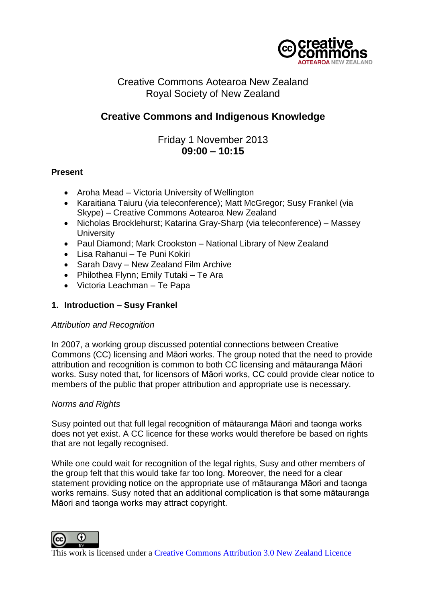

# Creative Commons Aotearoa New Zealand Royal Society of New Zealand

# **Creative Commons and Indigenous Knowledge**

Friday 1 November 2013 **09:00 – 10:15**

# **Present**

- Aroha Mead Victoria University of Wellington
- Karaitiana Taiuru (via teleconference): Matt McGregor: Susy Frankel (via Skype) – Creative Commons Aotearoa New Zealand
- Nicholas Brocklehurst; Katarina Gray-Sharp (via teleconference) Massey **University**
- Paul Diamond; Mark Crookston National Library of New Zealand
- Lisa Rahanui Te Puni Kokiri
- Sarah Davy New Zealand Film Archive
- Philothea Flynn; Emily Tutaki Te Ara
- Victoria Leachman Te Papa

# **1. Introduction – Susy Frankel**

## *Attribution and Recognition*

In 2007, a working group discussed potential connections between Creative Commons (CC) licensing and Māori works. The group noted that the need to provide attribution and recognition is common to both CC licensing and mātauranga Māori works. Susy noted that, for licensors of Māori works, CC could provide clear notice to members of the public that proper attribution and appropriate use is necessary.

## *Norms and Rights*

Susy pointed out that full legal recognition of mātauranga Māori and taonga works does not yet exist. A CC licence for these works would therefore be based on rights that are not legally recognised.

While one could wait for recognition of the legal rights, Susy and other members of the group felt that this would take far too long. Moreover, the need for a clear statement providing notice on the appropriate use of mātauranga Māori and taonga works remains. Susy noted that an additional complication is that some mātauranga Māori and taonga works may attract copyright.

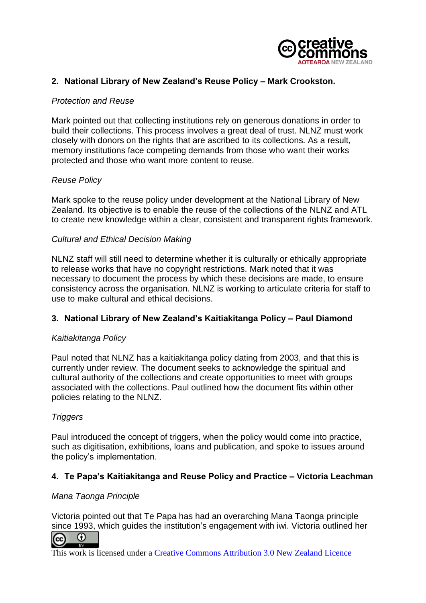

# **2. National Library of New Zealand's Reuse Policy – Mark Crookston.**

#### *Protection and Reuse*

Mark pointed out that collecting institutions rely on generous donations in order to build their collections. This process involves a great deal of trust. NLNZ must work closely with donors on the rights that are ascribed to its collections. As a result, memory institutions face competing demands from those who want their works protected and those who want more content to reuse.

#### *Reuse Policy*

Mark spoke to the reuse policy under development at the National Library of New Zealand. Its objective is to enable the reuse of the collections of the NLNZ and ATL to create new knowledge within a clear, consistent and transparent rights framework.

#### *Cultural and Ethical Decision Making*

NLNZ staff will still need to determine whether it is culturally or ethically appropriate to release works that have no copyright restrictions. Mark noted that it was necessary to document the process by which these decisions are made, to ensure consistency across the organisation. NLNZ is working to articulate criteria for staff to use to make cultural and ethical decisions.

## **3. National Library of New Zealand's Kaitiakitanga Policy – Paul Diamond**

#### *Kaitiakitanga Policy*

Paul noted that NLNZ has a kaitiakitanga policy dating from 2003, and that this is currently under review. The document seeks to acknowledge the spiritual and cultural authority of the collections and create opportunities to meet with groups associated with the collections. Paul outlined how the document fits within other policies relating to the NLNZ.

## *Triggers*

Paul introduced the concept of triggers, when the policy would come into practice, such as digitisation, exhibitions, loans and publication, and spoke to issues around the policy's implementation.

## **4. Te Papa's Kaitiakitanga and Reuse Policy and Practice – Victoria Leachman**

#### *Mana Taonga Principle*

Victoria pointed out that Te Papa has had an overarching Mana Taonga principle since 1993, which guides the institution's engagement with iwi. Victoria outlined her

⋒ ര

This work is licensed under a Creative Commons Attribution 3.0 New Zealand Licence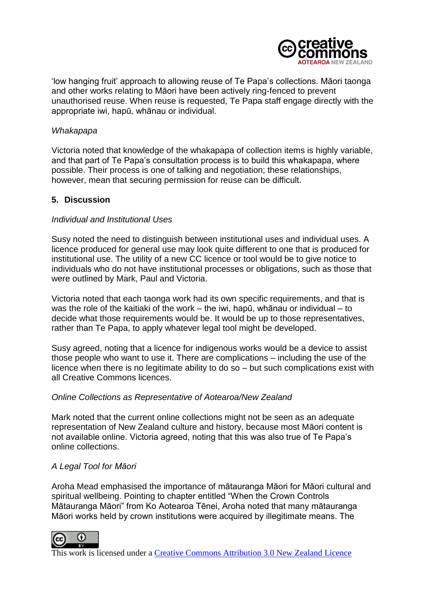

'low hanging fruit' approach to allowing reuse of Te Papa's collections. Māori taonga and other works relating to Māori have been actively ring-fenced to prevent unauthorised reuse. When reuse is requested, Te Papa staff engage directly with the appropriate iwi, hapū, whānau or individual.

#### *Whakapapa*

Victoria noted that knowledge of the whakapapa of collection items is highly variable, and that part of Te Papa's consultation process is to build this whakapapa, where possible. Their process is one of talking and negotiation; these relationships, however, mean that securing permission for reuse can be difficult.

## **5. Discussion**

#### *Individual and Institutional Uses*

Susy noted the need to distinguish between institutional uses and individual uses. A licence produced for general use may look quite different to one that is produced for institutional use. The utility of a new CC licence or tool would be to give notice to individuals who do not have institutional processes or obligations, such as those that were outlined by Mark, Paul and Victoria.

Victoria noted that each taonga work had its own specific requirements, and that is was the role of the kaitiaki of the work – the iwi, hapū, whānau or individual – to decide what those requirements would be. It would be up to those representatives, rather than Te Papa, to apply whatever legal tool might be developed.

Susy agreed, noting that a licence for indigenous works would be a device to assist those people who want to use it. There are complications – including the use of the licence when there is no legitimate ability to do so – but such complications exist with all Creative Commons licences.

## *Online Collections as Representative of Aotearoa/New Zealand*

Mark noted that the current online collections might not be seen as an adequate representation of New Zealand culture and history, because most Māori content is not available online. Victoria agreed, noting that this was also true of Te Papa's online collections.

## *A Legal Tool for Māori*

Aroha Mead emphasised the importance of mātauranga Māori for Māori cultural and spiritual wellbeing. Pointing to chapter entitled "When the Crown Controls Mātauranga Māori" from Ko Aotearoa Tēnei, Aroha noted that many mātauranga Māori works held by crown institutions were acquired by illegitimate means. The



This work is licensed under a Creative Commons Attribution 3.0 New Zealand Licence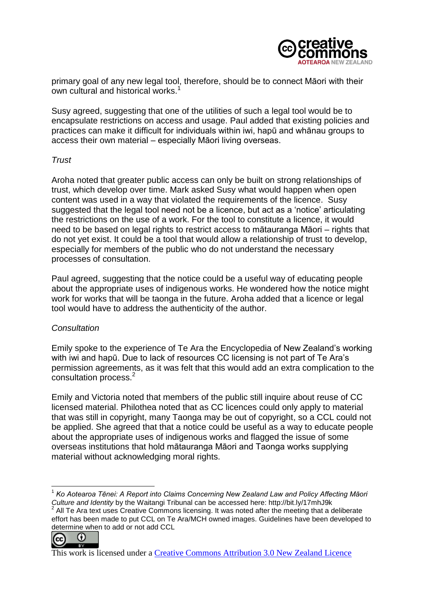

primary goal of any new legal tool, therefore, should be to connect Māori with their own cultural and historical works.<sup>1</sup>

Susy agreed, suggesting that one of the utilities of such a legal tool would be to encapsulate restrictions on access and usage. Paul added that existing policies and practices can make it difficult for individuals within iwi, hapū and whānau groups to access their own material – especially Māori living overseas.

## *Trust*

Aroha noted that greater public access can only be built on strong relationships of trust, which develop over time. Mark asked Susy what would happen when open content was used in a way that violated the requirements of the licence. Susy suggested that the legal tool need not be a licence, but act as a 'notice' articulating the restrictions on the use of a work. For the tool to constitute a licence, it would need to be based on legal rights to restrict access to mātauranga Māori – rights that do not yet exist. It could be a tool that would allow a relationship of trust to develop, especially for members of the public who do not understand the necessary processes of consultation.

Paul agreed, suggesting that the notice could be a useful way of educating people about the appropriate uses of indigenous works. He wondered how the notice might work for works that will be taonga in the future. Aroha added that a licence or legal tool would have to address the authenticity of the author.

# *Consultation*

Emily spoke to the experience of Te Ara the Encyclopedia of New Zealand's working with iwi and hapū. Due to lack of resources CC licensing is not part of Te Ara's permission agreements, as it was felt that this would add an extra complication to the consultation process.<sup>2</sup>

Emily and Victoria noted that members of the public still inquire about reuse of CC licensed material. Philothea noted that as CC licences could only apply to material that was still in copyright, many Taonga may be out of copyright, so a CCL could not be applied. She agreed that that a notice could be useful as a way to educate people about the appropriate uses of indigenous works and flagged the issue of some overseas institutions that hold mātauranga Māori and Taonga works supplying material without acknowledging moral rights.

 $\Omega$ <u>ര</u>

<sup>&</sup>lt;u>.</u> <sup>1</sup> Ko Aotearoa Tēnei: A Report into Claims Concerning New Zealand Law and Policy Affecting Māori *Culture and Identity* by the Waitangi Tribunal can be accessed here: http://bit.ly/17mhJ9k 2 All Te Ara text uses Creative Commons licensing. It was noted after the meeting that a deliberate effort has been made to put CCL on Te Ara/MCH owned images. Guidelines have been developed to determine when to add or not add CCL

This work is licensed under a Creative Commons Attribution 3.0 New Zealand Licence